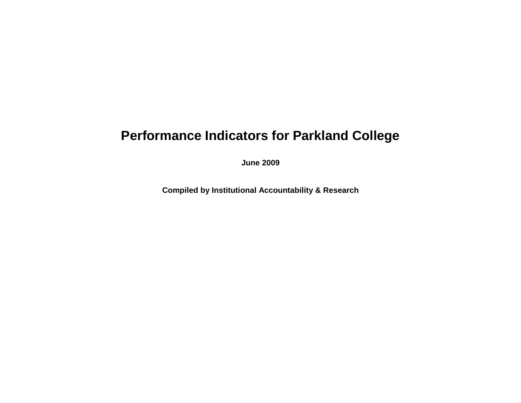## **Performance Indicators for Parkland College**

**June 2009**

**Compiled by Institutional Accountability & Research**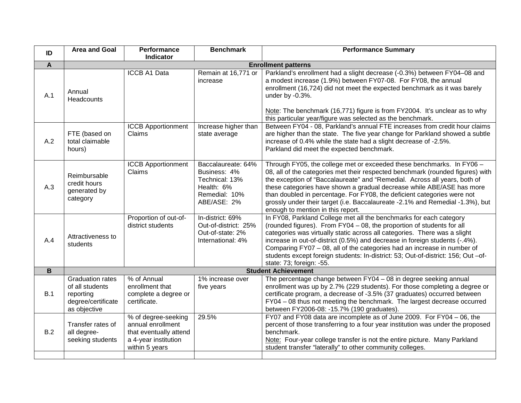| ID           | <b>Area and Goal</b>                                                                          | Performance<br>Indicator                                                                                     | <b>Benchmark</b>                                                                                   | <b>Performance Summary</b>                                                                                                                                                                                                                                                                                                                                                                                                                                                                                     |  |
|--------------|-----------------------------------------------------------------------------------------------|--------------------------------------------------------------------------------------------------------------|----------------------------------------------------------------------------------------------------|----------------------------------------------------------------------------------------------------------------------------------------------------------------------------------------------------------------------------------------------------------------------------------------------------------------------------------------------------------------------------------------------------------------------------------------------------------------------------------------------------------------|--|
| $\mathbf{A}$ | <b>Enrollment patterns</b>                                                                    |                                                                                                              |                                                                                                    |                                                                                                                                                                                                                                                                                                                                                                                                                                                                                                                |  |
| A.1          | Annual<br>Headcounts                                                                          | <b>ICCB A1 Data</b>                                                                                          | Remain at 16,771 or<br>increase                                                                    | Parkland's enrollment had a slight decrease (-0.3%) between FY04-08 and<br>a modest increase (1.9%) between FY07-08. For FY08, the annual<br>enrollment (16,724) did not meet the expected benchmark as it was barely<br>under by -0.3%.<br>Note: The benchmark (16,771) figure is from FY2004. It's unclear as to why<br>this particular year/figure was selected as the benchmark.                                                                                                                           |  |
| A.2          | FTE (based on<br>total claimable<br>hours)                                                    | <b>ICCB Apportionment</b><br>Claims                                                                          | Increase higher than<br>state average                                                              | Between FY04 - 08, Parkland's annual FTE increases from credit hour claims<br>are higher than the state. The five year change for Parkland showed a subtle<br>increase of 0.4% while the state had a slight decrease of -2.5%.<br>Parkland did meet the expected benchmark.                                                                                                                                                                                                                                    |  |
| A.3          | Reimbursable<br>credit hours<br>generated by<br>category                                      | <b>ICCB Apportionment</b><br>Claims                                                                          | Baccalaureate: 64%<br>Business: 4%<br>Technical: 13%<br>Health: 6%<br>Remedial: 10%<br>ABE/ASE: 2% | Through FY05, the college met or exceeded these benchmarks. In FY06 -<br>08, all of the categories met their respected benchmark (rounded figures) with<br>the exception of "Baccalaureate" and "Remedial. Across all years, both of<br>these categories have shown a gradual decrease while ABE/ASE has more<br>than doubled in percentage. For FY08, the deficient categories were not<br>grossly under their target (i.e. Baccalaureate -2.1% and Remedial -1.3%), but<br>enough to mention in this report. |  |
| A.4          | Attractiveness to<br>students                                                                 | Proportion of out-of-<br>district students                                                                   | In-district: 69%<br>Out-of-district: 25%<br>Out-of-state: 2%<br>International: 4%                  | In FY08, Parkland College met all the benchmarks for each category<br>(rounded figures). From FY04 - 08, the proportion of students for all<br>categories was virtually static across all categories. There was a slight<br>increase in out-of-district (0.5%) and decrease in foreign students (-.4%).<br>Comparing FY07 - 08, all of the categories had an increase in number of<br>students except foreign students: In-district: 53; Out-of-district: 156; Out-of-<br>state: 73; foreign: -55.             |  |
| $\mathbf B$  | <b>Student Achievement</b>                                                                    |                                                                                                              |                                                                                                    |                                                                                                                                                                                                                                                                                                                                                                                                                                                                                                                |  |
| B.1          | <b>Graduation rates</b><br>of all students<br>reporting<br>degree/certificate<br>as objective | % of Annual<br>enrollment that<br>complete a degree or<br>certificate.                                       | 1% increase over<br>five years                                                                     | The percentage change between FY04 - 08 in degree seeking annual<br>enrollment was up by 2.7% (229 students). For those completing a degree or<br>certificate program, a decrease of -3.5% (37 graduates) occurred between<br>FY04 - 08 thus not meeting the benchmark. The largest decrease occurred<br>between FY2006-08: -15.7% (190 graduates).                                                                                                                                                            |  |
| B.2          | Transfer rates of<br>all degree-<br>seeking students                                          | % of degree-seeking<br>annual enrollment<br>that eventually attend<br>a 4-year institution<br>within 5 years | 29.5%                                                                                              | FY07 and FY08 data are incomplete as of June 2009. For FY04 - 06, the<br>percent of those transferring to a four year institution was under the proposed<br>benchmark.<br>Note: Four-year college transfer is not the entire picture. Many Parkland<br>student transfer "laterally" to other community colleges.                                                                                                                                                                                               |  |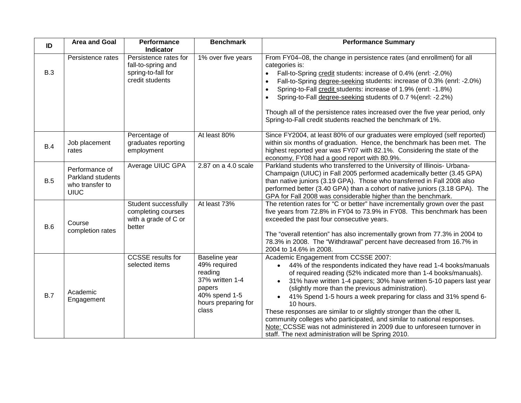| ID         | <b>Area and Goal</b>                                                  | Performance<br>Indicator                                                             | <b>Benchmark</b>                                                                                                       | <b>Performance Summary</b>                                                                                                                                                                                                                                                                                                                                                                                                                                                                                                                                                                                                                                                                               |
|------------|-----------------------------------------------------------------------|--------------------------------------------------------------------------------------|------------------------------------------------------------------------------------------------------------------------|----------------------------------------------------------------------------------------------------------------------------------------------------------------------------------------------------------------------------------------------------------------------------------------------------------------------------------------------------------------------------------------------------------------------------------------------------------------------------------------------------------------------------------------------------------------------------------------------------------------------------------------------------------------------------------------------------------|
| <b>B.3</b> | Persistence rates                                                     | Persistence rates for<br>fall-to-spring and<br>spring-to-fall for<br>credit students | 1% over five years                                                                                                     | From FY04-08, the change in persistence rates (and enrollment) for all<br>categories is:<br>Fall-to-Spring credit students: increase of 0.4% (enrl: -2.0%)<br>Fall-to-Spring degree-seeking students: increase of 0.3% (enrl: -2.0%)<br>Spring-to-Fall credit students: increase of 1.9% (enrl: -1.8%)<br>Spring-to-Fall degree-seeking students of 0.7 %(enrl: -2.2%)<br>Though all of the persistence rates increased over the five year period, only<br>Spring-to-Fall credit students reached the benchmark of 1%.                                                                                                                                                                                   |
| B.4        | Job placement<br>rates                                                | Percentage of<br>graduates reporting<br>employment                                   | At least 80%                                                                                                           | Since FY2004, at least 80% of our graduates were employed (self reported)<br>within six months of graduation. Hence, the benchmark has been met. The<br>highest reported year was FY07 with 82.1%. Considering the state of the<br>economy, FY08 had a good report with 80.9%.                                                                                                                                                                                                                                                                                                                                                                                                                           |
| B.5        | Performance of<br>Parkland students<br>who transfer to<br><b>UIUC</b> | Average UIUC GPA                                                                     | 2.87 on a 4.0 scale                                                                                                    | Parkland students who transferred to the University of Illinois- Urbana-<br>Champaign (UIUC) in Fall 2005 performed academically better (3.45 GPA)<br>than native juniors (3.19 GPA). Those who transferred in Fall 2008 also<br>performed better (3.40 GPA) than a cohort of native juniors (3.18 GPA). The<br>GPA for Fall 2008 was considerable higher than the benchmark.                                                                                                                                                                                                                                                                                                                            |
| B.6        | Course<br>completion rates                                            | Student successfully<br>completing courses<br>with a grade of C or<br>better         | At least 73%                                                                                                           | The retention rates for "C or better" have incrementally grown over the past<br>five years from 72.8% in FY04 to 73.9% in FY08. This benchmark has been<br>exceeded the past four consecutive years.<br>The "overall retention" has also incrementally grown from 77.3% in 2004 to<br>78.3% in 2008. The "Withdrawal" percent have decreased from 16.7% in<br>2004 to 14.6% in 2008.                                                                                                                                                                                                                                                                                                                     |
| B.7        | Academic<br>Engagement                                                | <b>CCSSE</b> results for<br>selected items                                           | Baseline year<br>49% required<br>reading<br>37% written 1-4<br>papers<br>40% spend 1-5<br>hours preparing for<br>class | Academic Engagement from CCSSE 2007:<br>44% of the respondents indicated they have read 1-4 books/manuals<br>$\bullet$<br>of required reading (52% indicated more than 1-4 books/manuals).<br>31% have written 1-4 papers; 30% have written 5-10 papers last year<br>$\bullet$<br>(slightly more than the previous administration).<br>41% Spend 1-5 hours a week preparing for class and 31% spend 6-<br>10 hours.<br>These responses are similar to or slightly stronger than the other IL<br>community colleges who participated, and similar to national responses.<br>Note: CCSSE was not administered in 2009 due to unforeseen turnover in<br>staff. The next administration will be Spring 2010. |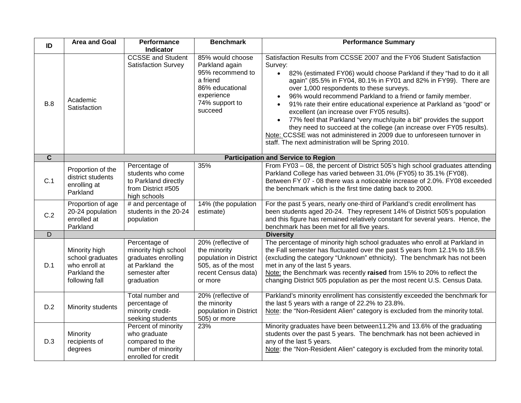| ID                      | <b>Area and Goal</b>                                                                 | Performance<br><b>Indicator</b>                                                                                 | <b>Benchmark</b>                                                                                                                 | <b>Performance Summary</b>                                                                                                                                                                                                                                                                                                                                                                                                                                                                                                                                                                                                                                                                                                                                  |
|-------------------------|--------------------------------------------------------------------------------------|-----------------------------------------------------------------------------------------------------------------|----------------------------------------------------------------------------------------------------------------------------------|-------------------------------------------------------------------------------------------------------------------------------------------------------------------------------------------------------------------------------------------------------------------------------------------------------------------------------------------------------------------------------------------------------------------------------------------------------------------------------------------------------------------------------------------------------------------------------------------------------------------------------------------------------------------------------------------------------------------------------------------------------------|
| B.8                     | Academic<br>Satisfaction                                                             | <b>CCSSE and Student</b><br><b>Satisfaction Survey</b>                                                          | 85% would choose<br>Parkland again<br>95% recommend to<br>a friend<br>86% educational<br>experience<br>74% support to<br>succeed | Satisfaction Results from CCSSE 2007 and the FY06 Student Satisfaction<br>Survey:<br>82% (estimated FY06) would choose Parkland if they "had to do it all<br>$\bullet$<br>again" (85.5% in FY04, 80.1% in FY01 and 82% in FY99). There are<br>over 1,000 respondents to these surveys.<br>96% would recommend Parkland to a friend or family member.<br>91% rate their entire educational experience at Parkland as "good" or<br>excellent (an increase over FY05 results).<br>77% feel that Parkland "very much/quite a bit" provides the support<br>they need to succeed at the college (an increase over FY05 results).<br>Note: CCSSE was not administered in 2009 due to unforeseen turnover in<br>staff. The next administration will be Spring 2010. |
| $\overline{\mathbf{c}}$ |                                                                                      |                                                                                                                 |                                                                                                                                  | <b>Participation and Service to Region</b>                                                                                                                                                                                                                                                                                                                                                                                                                                                                                                                                                                                                                                                                                                                  |
| C.1                     | Proportion of the<br>district students<br>enrolling at<br>Parkland                   | Percentage of<br>students who come<br>to Parkland directly<br>from District #505<br>high schools                | 35%                                                                                                                              | From FY03 - 08, the percent of District 505's high school graduates attending<br>Parkland College has varied between 31.0% (FY05) to 35.1% (FY08).<br>Between FY 07 - 08 there was a noticeable increase of 2.0%. FY08 exceeded<br>the benchmark which is the first time dating back to 2000.                                                                                                                                                                                                                                                                                                                                                                                                                                                               |
| C.2                     | Proportion of age<br>20-24 population<br>enrolled at<br>Parkland                     | # and percentage of<br>students in the 20-24<br>population                                                      | 14% (the population<br>estimate)                                                                                                 | For the past 5 years, nearly one-third of Parkland's credit enrollment has<br>been students aged 20-24. They represent 14% of District 505's population<br>and this figure has remained relatively constant for several years. Hence, the<br>benchmark has been met for all five years.                                                                                                                                                                                                                                                                                                                                                                                                                                                                     |
| D                       |                                                                                      |                                                                                                                 |                                                                                                                                  | <b>Diversity</b>                                                                                                                                                                                                                                                                                                                                                                                                                                                                                                                                                                                                                                                                                                                                            |
| D.1                     | Minority high<br>school graduates<br>who enroll at<br>Parkland the<br>following fall | Percentage of<br>minority high school<br>graduates enrolling<br>at Parkland the<br>semester after<br>graduation | 20% (reflective of<br>the minority<br>population in District<br>505, as of the most<br>recent Census data)<br>or more            | The percentage of minority high school graduates who enroll at Parkland in<br>the Fall semester has fluctuated over the past 5 years from 12.1% to 18.5%<br>(excluding the category "Unknown" ethnicity). The benchmark has not been<br>met in any of the last 5 years.<br>Note: the Benchmark was recently raised from 15% to 20% to reflect the<br>changing District 505 population as per the most recent U.S. Census Data.                                                                                                                                                                                                                                                                                                                              |
| D.2                     | Minority students                                                                    | Total number and<br>percentage of<br>minority credit-<br>seeking students                                       | 20% (reflective of<br>the minority<br>population in District<br>505) or more                                                     | Parkland's minority enrollment has consistently exceeded the benchmark for<br>the last 5 years with a range of 22.2% to 23.8%.<br>Note: the "Non-Resident Alien" category is excluded from the minority total.                                                                                                                                                                                                                                                                                                                                                                                                                                                                                                                                              |
| D.3                     | Minority<br>recipients of<br>degrees                                                 | Percent of minority<br>who graduate<br>compared to the<br>number of minority<br>enrolled for credit             | 23%                                                                                                                              | Minority graduates have been between11.2% and 13.6% of the graduating<br>students over the past 5 years. The benchmark has not been achieved in<br>any of the last 5 years.<br>Note: the "Non-Resident Alien" category is excluded from the minority total.                                                                                                                                                                                                                                                                                                                                                                                                                                                                                                 |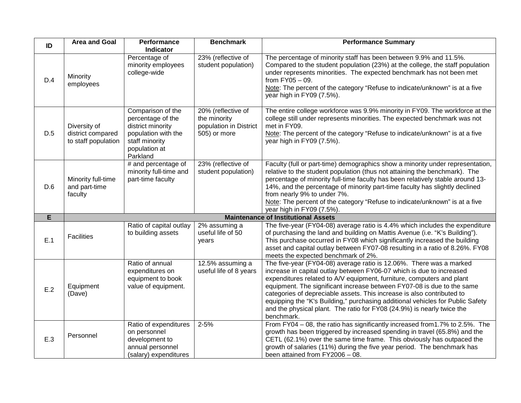| ID  | <b>Area and Goal</b>                                     | <b>Performance</b><br><b>Indicator</b>                                                                                            | <b>Benchmark</b>                                                             | <b>Performance Summary</b>                                                                                                                                                                                                                                                                                                                                                                                                                                                                                                                         |
|-----|----------------------------------------------------------|-----------------------------------------------------------------------------------------------------------------------------------|------------------------------------------------------------------------------|----------------------------------------------------------------------------------------------------------------------------------------------------------------------------------------------------------------------------------------------------------------------------------------------------------------------------------------------------------------------------------------------------------------------------------------------------------------------------------------------------------------------------------------------------|
| D.4 | Minority<br>employees                                    | Percentage of<br>minority employees<br>college-wide                                                                               | 23% (reflective of<br>student population)                                    | The percentage of minority staff has been between 9.9% and 11.5%.<br>Compared to the student population (23%) at the college, the staff population<br>under represents minorities. The expected benchmark has not been met<br>from $FY05 - 09$ .<br>Note: The percent of the category "Refuse to indicate/unknown" is at a five<br>year high in FY09 (7.5%).                                                                                                                                                                                       |
| D.5 | Diversity of<br>district compared<br>to staff population | Comparison of the<br>percentage of the<br>district minority<br>population with the<br>staff minority<br>population at<br>Parkland | 20% (reflective of<br>the minority<br>population in District<br>505) or more | The entire college workforce was 9.9% minority in FY09. The workforce at the<br>college still under represents minorities. The expected benchmark was not<br>met in FY09.<br>Note: The percent of the category "Refuse to indicate/unknown" is at a five<br>year high in FY09 (7.5%).                                                                                                                                                                                                                                                              |
| D.6 | Minority full-time<br>and part-time<br>faculty           | # and percentage of<br>minority full-time and<br>part-time faculty                                                                | 23% (reflective of<br>student population)                                    | Faculty (full or part-time) demographics show a minority under representation,<br>relative to the student population (thus not attaining the benchmark). The<br>percentage of minority full-time faculty has been relatively stable around 13-<br>14%, and the percentage of minority part-time faculty has slightly declined<br>from nearly 9% to under 7%.<br>Note: The percent of the category "Refuse to indicate/unknown" is at a five<br>year high in FY09 (7.5%).                                                                           |
| E   |                                                          |                                                                                                                                   |                                                                              | <b>Maintenance of Institutional Assets</b>                                                                                                                                                                                                                                                                                                                                                                                                                                                                                                         |
| E.1 | <b>Facilities</b>                                        | Ratio of capital outlay<br>to building assets                                                                                     | 2% assuming a<br>useful life of 50<br>years                                  | The five-year (FY04-08) average ratio is 4.4% which includes the expenditure<br>of purchasing the land and building on Mattis Avenue (i.e. "K's Building").<br>This purchase occurred in FY08 which significantly increased the building<br>asset and capital outlay between FY07-08 resulting in a ratio of 8.26%. FY08<br>meets the expected benchmark of 2%.                                                                                                                                                                                    |
| E.2 | Equipment<br>(Dave)                                      | Ratio of annual<br>expenditures on<br>equipment to book<br>value of equipment.                                                    | 12.5% assuming a<br>useful life of 8 years                                   | The five-year (FY04-08) average ratio is 12.06%. There was a marked<br>increase in capital outlay between FY06-07 which is due to increased<br>expenditures related to A/V equipment, furniture, computers and plant<br>equipment. The significant increase between FY07-08 is due to the same<br>categories of depreciable assets. This increase is also contributed to<br>equipping the "K's Building," purchasing additional vehicles for Public Safety<br>and the physical plant. The ratio for FY08 (24.9%) is nearly twice the<br>benchmark. |
| E.3 | Personnel                                                | Ratio of expenditures<br>on personnel<br>development to<br>annual personnel<br>(salary) expenditures                              | $2 - 5%$                                                                     | From FY04 - 08, the ratio has significantly increased from 1.7% to 2.5%. The<br>growth has been triggered by increased spending in travel (65.8%) and the<br>CETL (62.1%) over the same time frame. This obviously has outpaced the<br>growth of salaries (11%) during the five year period. The benchmark has<br>been attained from FY2006 - 08.                                                                                                                                                                                                  |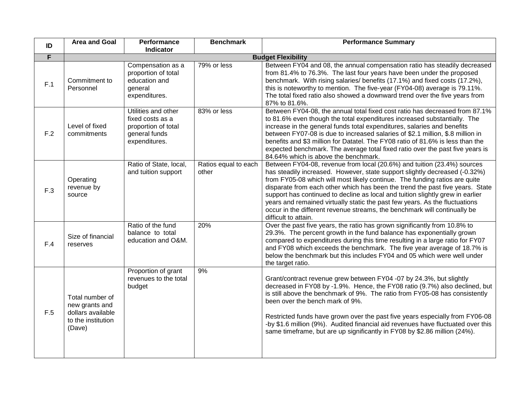| ID             | <b>Area and Goal</b>                                                                   | Performance<br><b>Indicator</b>                                                                  | <b>Benchmark</b>              | <b>Performance Summary</b>                                                                                                                                                                                                                                                                                                                                                                                                                                                                                                                                                                 |  |
|----------------|----------------------------------------------------------------------------------------|--------------------------------------------------------------------------------------------------|-------------------------------|--------------------------------------------------------------------------------------------------------------------------------------------------------------------------------------------------------------------------------------------------------------------------------------------------------------------------------------------------------------------------------------------------------------------------------------------------------------------------------------------------------------------------------------------------------------------------------------------|--|
| $\overline{F}$ | <b>Budget Flexibility</b>                                                              |                                                                                                  |                               |                                                                                                                                                                                                                                                                                                                                                                                                                                                                                                                                                                                            |  |
| F.1            | Commitment to<br>Personnel                                                             | Compensation as a<br>proportion of total<br>education and<br>general<br>expenditures.            | 79% or less                   | Between FY04 and 08, the annual compensation ratio has steadily decreased<br>from 81.4% to 76.3%. The last four years have been under the proposed<br>benchmark. With rising salaries/ benefits (17.1%) and fixed costs (17.2%),<br>this is noteworthy to mention. The five-year (FY04-08) average is 79.11%.<br>The total fixed ratio also showed a downward trend over the five years from<br>87% to 81.6%.                                                                                                                                                                              |  |
| F.2            | Level of fixed<br>commitments                                                          | Utilities and other<br>fixed costs as a<br>proportion of total<br>general funds<br>expenditures. | 83% or less                   | Between FY04-08, the annual total fixed cost ratio has decreased from 87.1%<br>to 81.6% even though the total expenditures increased substantially. The<br>increase in the general funds total expenditures, salaries and benefits<br>between FY07-08 is due to increased salaries of \$2.1 million, \$.8 million in<br>benefits and \$3 million for Datatel. The FY08 ratio of 81.6% is less than the<br>expected benchmark. The average total fixed ratio over the past five years is<br>84.64% which is above the benchmark.                                                            |  |
| F.3            | Operating<br>revenue by<br>source                                                      | Ratio of State, local,<br>and tuition support                                                    | Ratios equal to each<br>other | Between FY04-08, revenue from local (20.6%) and tuition (23.4%) sources<br>has steadily increased. However, state support slightly decreased (-0.32%)<br>from FY05-08 which will most likely continue. The funding ratios are quite<br>disparate from each other which has been the trend the past five years. State<br>support has continued to decline as local and tuition slightly grew in earlier<br>years and remained virtually static the past few years. As the fluctuations<br>occur in the different revenue streams, the benchmark will continually be<br>difficult to attain. |  |
| F.4            | Size of financial<br>reserves                                                          | Ratio of the fund<br>balance to total<br>education and O&M.                                      | 20%                           | Over the past five years, the ratio has grown significantly from 10.8% to<br>29.3%. The percent growth in the fund balance has exponentially grown<br>compared to expenditures during this time resulting in a large ratio for FY07<br>and FY08 which exceeds the benchmark. The five year average of 18.7% is<br>below the benchmark but this includes FY04 and 05 which were well under<br>the target ratio.                                                                                                                                                                             |  |
| F.5            | Total number of<br>new grants and<br>dollars available<br>to the institution<br>(Dave) | Proportion of grant<br>revenues to the total<br>budget                                           | 9%                            | Grant/contract revenue grew between FY04 -07 by 24.3%, but slightly<br>decreased in FY08 by -1.9%. Hence, the FY08 ratio (9.7%) also declined, but<br>is still above the benchmark of 9%. The ratio from FY05-08 has consistently<br>been over the bench mark of 9%.<br>Restricted funds have grown over the past five years especially from FY06-08<br>-by \$1.6 million (9%). Audited financial aid revenues have fluctuated over this<br>same timeframe, but are up significantly in FY08 by \$2.86 million (24%).                                                                      |  |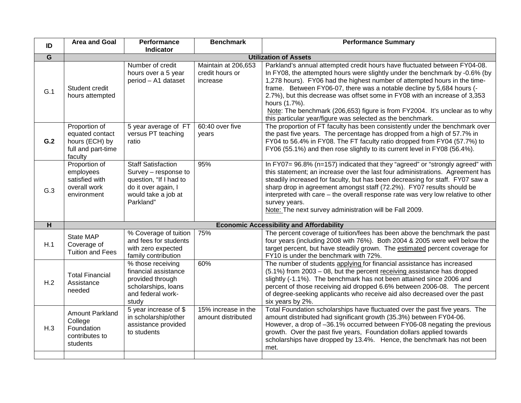| ID             | <b>Area and Goal</b>                                                                | Performance<br><b>Indicator</b>                                                                                                        | <b>Benchmark</b>                                   | <b>Performance Summary</b>                                                                                                                                                                                                                                                                                                                                                                                                                                                                                                                                 |  |
|----------------|-------------------------------------------------------------------------------------|----------------------------------------------------------------------------------------------------------------------------------------|----------------------------------------------------|------------------------------------------------------------------------------------------------------------------------------------------------------------------------------------------------------------------------------------------------------------------------------------------------------------------------------------------------------------------------------------------------------------------------------------------------------------------------------------------------------------------------------------------------------------|--|
| $\overline{G}$ | <b>Utilization of Assets</b>                                                        |                                                                                                                                        |                                                    |                                                                                                                                                                                                                                                                                                                                                                                                                                                                                                                                                            |  |
| G.1            | Student credit<br>hours attempted                                                   | Number of credit<br>hours over a 5 year<br>period - A1 dataset                                                                         | Maintain at 206,653<br>credit hours or<br>increase | Parkland's annual attempted credit hours have fluctuated between FY04-08.<br>In FY08, the attempted hours were slightly under the benchmark by -0.6% (by<br>1,278 hours). FY06 had the highest number of attempted hours in the time-<br>frame. Between FY06-07, there was a notable decline by 5,684 hours (-<br>2.7%), but this decrease was offset some in FY08 with an increase of 3,353<br>hours (1.7%).<br>Note: The benchmark (206,653) figure is from FY2004. It's unclear as to why<br>this particular year/figure was selected as the benchmark. |  |
| G.2            | Proportion of<br>equated contact<br>hours (ECH) by<br>full and part-time<br>faculty | 5 year average of FT<br>versus PT teaching<br>ratio                                                                                    | 60:40 over five<br>years                           | The proportion of FT faculty has been consistently under the benchmark over<br>the past five years. The percentage has dropped from a high of 57.7% in<br>FY04 to 56.4% in FY08. The FT faculty ratio dropped from FY04 (57.7%) to<br>FY06 (55.1%) and then rose slightly to its current level in FY08 (56.4%).                                                                                                                                                                                                                                            |  |
| G.3            | Proportion of<br>employees<br>satisfied with<br>overall work<br>environment         | <b>Staff Satisfaction</b><br>Survey - response to<br>question, "If I had to<br>do it over again, I<br>would take a job at<br>Parkland" | 95%                                                | In FY07= 96.8% (n=157) indicated that they "agreed" or "strongly agreed" with<br>this statement; an increase over the last four administrations. Agreement has<br>steadily increased for faculty, but has been decreasing for staff. FY07 saw a<br>sharp drop in agreement amongst staff (72.2%). FY07 results should be<br>interpreted with care – the overall response rate was very low relative to other<br>survey years.<br>Note: The next survey administration will be Fall 2009.                                                                   |  |
| H              |                                                                                     |                                                                                                                                        |                                                    | <b>Economic Accessibility and Affordability</b>                                                                                                                                                                                                                                                                                                                                                                                                                                                                                                            |  |
| H.1            | State MAP<br>Coverage of<br><b>Tuition and Fees</b>                                 | % Coverage of tuition<br>and fees for students<br>with zero expected<br>family contribution                                            | 75%                                                | The percent coverage of tuition/fees has been above the benchmark the past<br>four years (including 2008 with 76%). Both 2004 & 2005 were well below the<br>target percent, but have steadily grown. The estimated percent coverage for<br>FY10 is under the benchmark with 72%.                                                                                                                                                                                                                                                                           |  |
| H.2            | <b>Total Financial</b><br>Assistance<br>needed                                      | % those receiving<br>financial assistance<br>provided through<br>scholarships, loans<br>and federal work-<br>study                     | 60%                                                | The number of students applying for financial assistance has increased<br>$(5.1\%)$ from 2003 - 08, but the percent receiving assistance has dropped<br>slightly (-1.1%). The benchmark has not been attained since 2006 and<br>percent of those receiving aid dropped 6.6% between 2006-08. The percent<br>of degree-seeking applicants who receive aid also decreased over the past<br>six years by 2%.                                                                                                                                                  |  |
| H.3            | Amount Parkland<br>College<br>Foundation<br>contributes to<br>students              | 5 year increase of \$<br>in scholarship/other<br>assistance provided<br>to students                                                    | 15% increase in the<br>amount distributed          | Total Foundation scholarships have fluctuated over the past five years. The<br>amount distributed had significant growth (35.3%) between FY04-06.<br>However, a drop of -36.1% occurred between FY06-08 negating the previous<br>growth. Over the past five years, Foundation dollars applied towards<br>scholarships have dropped by 13.4%. Hence, the benchmark has not been<br>met.                                                                                                                                                                     |  |